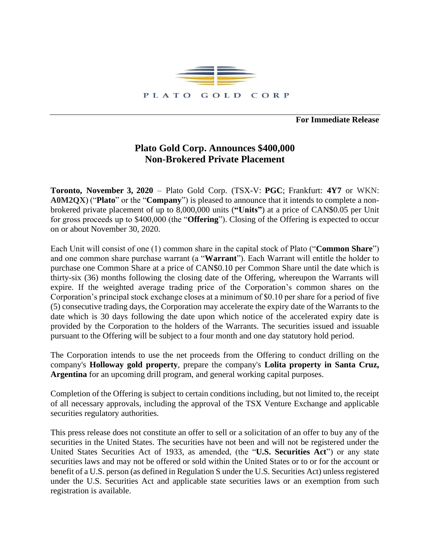

**For Immediate Release**

## **Plato Gold Corp. Announces \$400,000 Non-Brokered Private Placement**

**Toronto, November 3, 2020** – Plato Gold Corp. (TSX-V: **PGC**; Frankfurt: **4Y7** or WKN: **A0M2QX**) ("**Plato**" or the "**Company**") is pleased to announce that it intends to complete a nonbrokered private placement of up to 8,000,000 units (**"Units"**) at a price of CAN\$0.05 per Unit for gross proceeds up to \$400,000 (the "**Offering**"). Closing of the Offering is expected to occur on or about November 30, 2020.

Each Unit will consist of one (1) common share in the capital stock of Plato ("**Common Share**") and one common share purchase warrant (a "**Warrant**"). Each Warrant will entitle the holder to purchase one Common Share at a price of CAN\$0.10 per Common Share until the date which is thirty-six (36) months following the closing date of the Offering, whereupon the Warrants will expire. If the weighted average trading price of the Corporation's common shares on the Corporation's principal stock exchange closes at a minimum of \$0.10 per share for a period of five (5) consecutive trading days, the Corporation may accelerate the expiry date of the Warrants to the date which is 30 days following the date upon which notice of the accelerated expiry date is provided by the Corporation to the holders of the Warrants. The securities issued and issuable pursuant to the Offering will be subject to a four month and one day statutory hold period.

The Corporation intends to use the net proceeds from the Offering to conduct drilling on the company's **Holloway gold property**, prepare the company's **Lolita property in Santa Cruz, Argentina** for an upcoming drill program, and general working capital purposes.

Completion of the Offering is subject to certain conditions including, but not limited to, the receipt of all necessary approvals, including the approval of the TSX Venture Exchange and applicable securities regulatory authorities.

This press release does not constitute an offer to sell or a solicitation of an offer to buy any of the securities in the United States. The securities have not been and will not be registered under the United States Securities Act of 1933, as amended, (the "**U.S. Securities Act**") or any state securities laws and may not be offered or sold within the United States or to or for the account or benefit of a U.S. person (as defined in Regulation S under the U.S. Securities Act) unless registered under the U.S. Securities Act and applicable state securities laws or an exemption from such registration is available.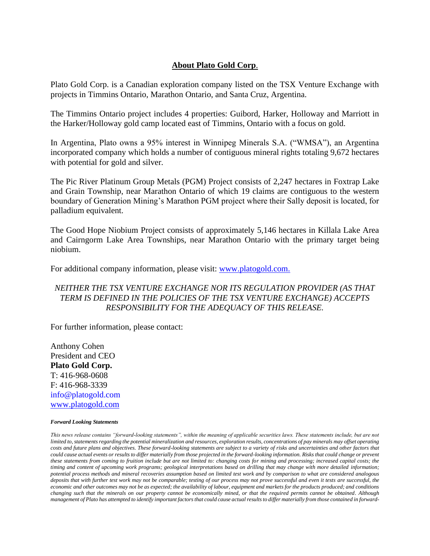## **About Plato Gold Corp**.

Plato Gold Corp. is a Canadian exploration company listed on the TSX Venture Exchange with projects in Timmins Ontario, Marathon Ontario, and Santa Cruz, Argentina.

The Timmins Ontario project includes 4 properties: Guibord, Harker, Holloway and Marriott in the Harker/Holloway gold camp located east of Timmins, Ontario with a focus on gold.

In Argentina, Plato owns a 95% interest in Winnipeg Minerals S.A. ("WMSA"), an Argentina incorporated company which holds a number of contiguous mineral rights totaling 9,672 hectares with potential for gold and silver.

The Pic River Platinum Group Metals (PGM) Project consists of 2,247 hectares in Foxtrap Lake and Grain Township, near Marathon Ontario of which 19 claims are contiguous to the western boundary of Generation Mining's Marathon PGM project where their Sally deposit is located, for palladium equivalent.

The Good Hope Niobium Project consists of approximately 5,146 hectares in Killala Lake Area and Cairngorm Lake Area Townships, near Marathon Ontario with the primary target being niobium.

For additional company information, please visit: [www.platogold.com.](http://www.platogold.com/)

## *NEITHER THE TSX VENTURE EXCHANGE NOR ITS REGULATION PROVIDER (AS THAT TERM IS DEFINED IN THE POLICIES OF THE TSX VENTURE EXCHANGE) ACCEPTS RESPONSIBILITY FOR THE ADEQUACY OF THIS RELEASE.*

For further information, please contact:

Anthony Cohen President and CEO **Plato Gold Corp.** T: 416-968-0608 F: 416-968-3339 info@platogold.com [www.platogold.com](http://www.platogold.com/)

## *Forward Looking Statements*

*This news release contains "forward-looking statements", within the meaning of applicable securities laws. These statements include, but are not limited to, statements regarding the potential mineralization and resources, exploration results, concentrations of pay minerals may offset operating costs and future plans and objectives. These forward-looking statements are subject to a variety of risks and uncertainties and other factors that could cause actual events or results to differ materially from those projected in the forward-looking information. Risks that could change or prevent these statements from coming to fruition include but are not limited to: changing costs for mining and processing; increased capital costs; the timing and content of upcoming work programs; geological interpretations based on drilling that may change with more detailed information; potential process methods and mineral recoveries assumption based on limited test work and by comparison to what are considered analogous deposits that with further test work may not be comparable; testing of our process may not prove successful and even it tests are successful, the economic and other outcomes may not be as expected; the availability of labour, equipment and markets for the products produced; and conditions changing such that the minerals on our property cannot be economically mined, or that the required permits cannot be obtained. Although management of Plato has attempted to identify important factors that could cause actual results to differ materially from those contained in forward-*